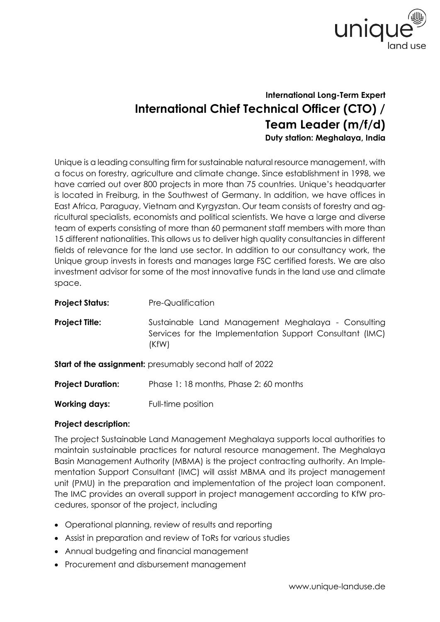

## **International Long-Term Expert International Chief Technical Officer (CTO) / Team Leader (m/f/d) Duty station: Meghalaya, India**

Unique is a leading consulting firm for sustainable natural resource management, with a focus on forestry, agriculture and climate change. Since establishment in 1998, we have carried out over 800 projects in more than 75 countries. Unique's headquarter is located in Freiburg, in the Southwest of Germany. In addition, we have offices in East Africa, Paraguay, Vietnam and Kyrgyzstan. Our team consists of forestry and agricultural specialists, economists and political scientists. We have a large and diverse team of experts consisting of more than 60 permanent staff members with more than 15 different nationalities. This allows us to deliver high quality consultancies in different fields of relevance for the land use sector. In addition to our consultancy work, the Unique group invests in forests and manages large FSC certified forests. We are also investment advisor for some of the most innovative funds in the land use and climate space.

| <b>Project Status:</b>                                         | Pre-Qualification                                                                                                       |
|----------------------------------------------------------------|-------------------------------------------------------------------------------------------------------------------------|
| <b>Project Title:</b>                                          | Sustainable Land Management Meghalaya - Consulting<br>Services for the Implementation Support Consultant (IMC)<br>(KfW) |
| <b>Start of the assignment:</b> presumably second half of 2022 |                                                                                                                         |
| <b>Project Duration:</b>                                       | Phase 1:18 months, Phase 2:60 months                                                                                    |

**Working days:** Full-time position

## **Project description:**

The project Sustainable Land Management Meghalaya supports local authorities to maintain sustainable practices for natural resource management. The Meghalaya Basin Management Authority (MBMA) is the project contracting authority. An Implementation Support Consultant (IMC) will assist MBMA and its project management unit (PMU) in the preparation and implementation of the project loan component. The IMC provides an overall support in project management according to KfW procedures, sponsor of the project, including

- Operational planning, review of results and reporting
- Assist in preparation and review of ToRs for various studies
- Annual budgeting and financial management
- Procurement and disbursement management